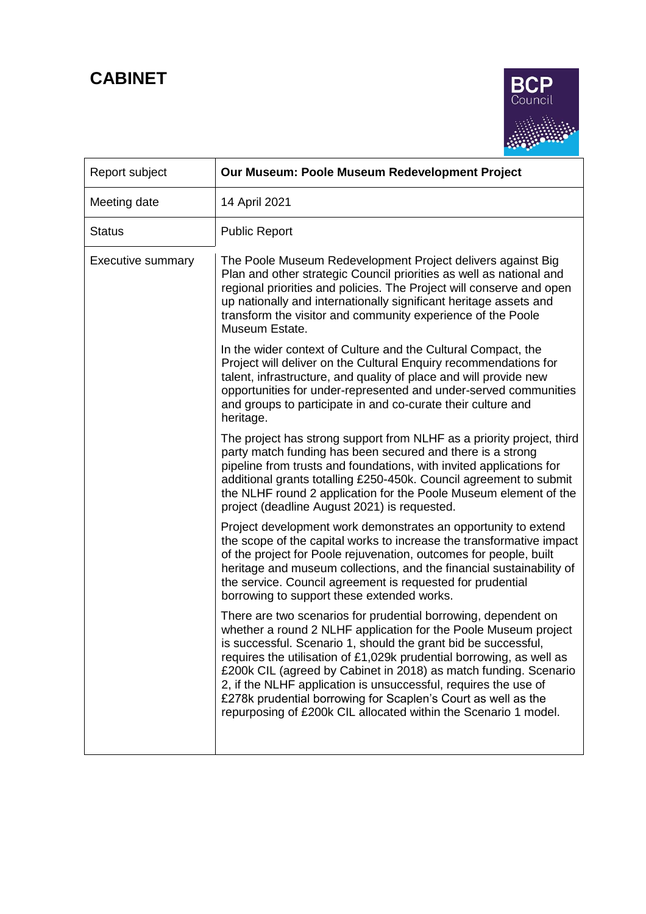# **CABINET**



| Report subject           | Our Museum: Poole Museum Redevelopment Project                                                                                                                                                                                                                                                                                                                                                                                                                                                                                                         |
|--------------------------|--------------------------------------------------------------------------------------------------------------------------------------------------------------------------------------------------------------------------------------------------------------------------------------------------------------------------------------------------------------------------------------------------------------------------------------------------------------------------------------------------------------------------------------------------------|
| Meeting date             | 14 April 2021                                                                                                                                                                                                                                                                                                                                                                                                                                                                                                                                          |
| <b>Status</b>            | <b>Public Report</b>                                                                                                                                                                                                                                                                                                                                                                                                                                                                                                                                   |
| <b>Executive summary</b> | The Poole Museum Redevelopment Project delivers against Big<br>Plan and other strategic Council priorities as well as national and<br>regional priorities and policies. The Project will conserve and open<br>up nationally and internationally significant heritage assets and<br>transform the visitor and community experience of the Poole<br>Museum Estate.                                                                                                                                                                                       |
|                          | In the wider context of Culture and the Cultural Compact, the<br>Project will deliver on the Cultural Enquiry recommendations for<br>talent, infrastructure, and quality of place and will provide new<br>opportunities for under-represented and under-served communities<br>and groups to participate in and co-curate their culture and<br>heritage.                                                                                                                                                                                                |
|                          | The project has strong support from NLHF as a priority project, third<br>party match funding has been secured and there is a strong<br>pipeline from trusts and foundations, with invited applications for<br>additional grants totalling £250-450k. Council agreement to submit<br>the NLHF round 2 application for the Poole Museum element of the<br>project (deadline August 2021) is requested.                                                                                                                                                   |
|                          | Project development work demonstrates an opportunity to extend<br>the scope of the capital works to increase the transformative impact<br>of the project for Poole rejuvenation, outcomes for people, built<br>heritage and museum collections, and the financial sustainability of<br>the service. Council agreement is requested for prudential<br>borrowing to support these extended works.                                                                                                                                                        |
|                          | There are two scenarios for prudential borrowing, dependent on<br>whether a round 2 NLHF application for the Poole Museum project<br>is successful. Scenario 1, should the grant bid be successful,<br>requires the utilisation of £1,029k prudential borrowing, as well as<br>£200k CIL (agreed by Cabinet in 2018) as match funding. Scenario<br>2, if the NLHF application is unsuccessful, requires the use of<br>£278k prudential borrowing for Scaplen's Court as well as the<br>repurposing of £200k CIL allocated within the Scenario 1 model. |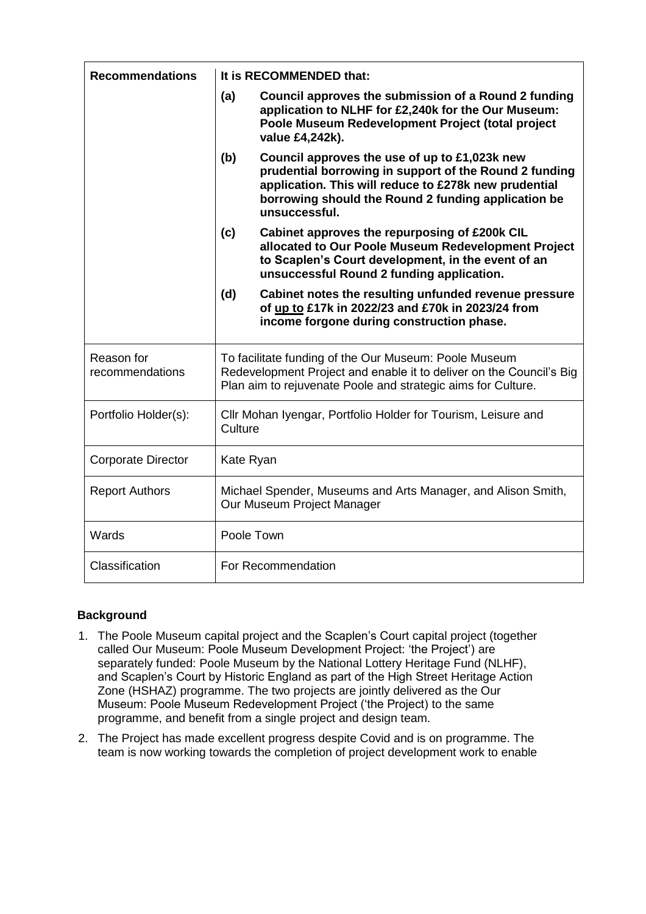| <b>Recommendations</b>        | It is RECOMMENDED that:                                                                                                                                                                                                                         |  |  |
|-------------------------------|-------------------------------------------------------------------------------------------------------------------------------------------------------------------------------------------------------------------------------------------------|--|--|
|                               | (a)<br>Council approves the submission of a Round 2 funding<br>application to NLHF for £2,240k for the Our Museum:<br>Poole Museum Redevelopment Project (total project<br>value £4,242k).                                                      |  |  |
|                               | (b)<br>Council approves the use of up to £1,023k new<br>prudential borrowing in support of the Round 2 funding<br>application. This will reduce to £278k new prudential<br>borrowing should the Round 2 funding application be<br>unsuccessful. |  |  |
|                               | (c)<br>Cabinet approves the repurposing of £200k CIL<br>allocated to Our Poole Museum Redevelopment Project<br>to Scaplen's Court development, in the event of an<br>unsuccessful Round 2 funding application.                                  |  |  |
|                               | Cabinet notes the resulting unfunded revenue pressure<br>(d)<br>of up to £17k in 2022/23 and £70k in 2023/24 from<br>income forgone during construction phase.                                                                                  |  |  |
| Reason for<br>recommendations | To facilitate funding of the Our Museum: Poole Museum<br>Redevelopment Project and enable it to deliver on the Council's Big<br>Plan aim to rejuvenate Poole and strategic aims for Culture.                                                    |  |  |
| Portfolio Holder(s):          | Cllr Mohan Iyengar, Portfolio Holder for Tourism, Leisure and<br>Culture                                                                                                                                                                        |  |  |
| <b>Corporate Director</b>     | Kate Ryan                                                                                                                                                                                                                                       |  |  |
| <b>Report Authors</b>         | Michael Spender, Museums and Arts Manager, and Alison Smith,<br>Our Museum Project Manager                                                                                                                                                      |  |  |
| Wards                         | Poole Town                                                                                                                                                                                                                                      |  |  |
| Classification                | For Recommendation                                                                                                                                                                                                                              |  |  |

# **Background**

- 1. The Poole Museum capital project and the Scaplen's Court capital project (together called Our Museum: Poole Museum Development Project: 'the Project') are separately funded: Poole Museum by the National Lottery Heritage Fund (NLHF), and Scaplen's Court by Historic England as part of the High Street Heritage Action Zone (HSHAZ) programme. The two projects are jointly delivered as the Our Museum: Poole Museum Redevelopment Project ('the Project) to the same programme, and benefit from a single project and design team.
- 2. The Project has made excellent progress despite Covid and is on programme. The team is now working towards the completion of project development work to enable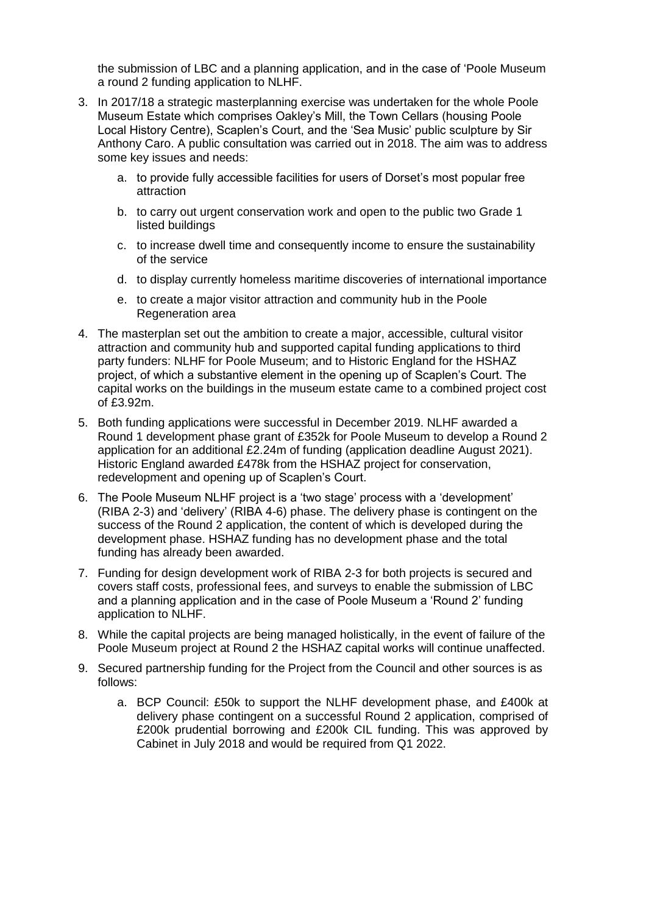the submission of LBC and a planning application, and in the case of 'Poole Museum a round 2 funding application to NLHF.

- 3. In 2017/18 a strategic masterplanning exercise was undertaken for the whole Poole Museum Estate which comprises Oakley's Mill, the Town Cellars (housing Poole Local History Centre), Scaplen's Court, and the 'Sea Music' public sculpture by Sir Anthony Caro. A public consultation was carried out in 2018. The aim was to address some key issues and needs:
	- a. to provide fully accessible facilities for users of Dorset's most popular free attraction
	- b. to carry out urgent conservation work and open to the public two Grade 1 listed buildings
	- c. to increase dwell time and consequently income to ensure the sustainability of the service
	- d. to display currently homeless maritime discoveries of international importance
	- e. to create a major visitor attraction and community hub in the Poole Regeneration area
- 4. The masterplan set out the ambition to create a major, accessible, cultural visitor attraction and community hub and supported capital funding applications to third party funders: NLHF for Poole Museum; and to Historic England for the HSHAZ project, of which a substantive element in the opening up of Scaplen's Court. The capital works on the buildings in the museum estate came to a combined project cost of £3.92m.
- 5. Both funding applications were successful in December 2019. NLHF awarded a Round 1 development phase grant of £352k for Poole Museum to develop a Round 2 application for an additional £2.24m of funding (application deadline August 2021). Historic England awarded £478k from the HSHAZ project for conservation, redevelopment and opening up of Scaplen's Court.
- 6. The Poole Museum NLHF project is a 'two stage' process with a 'development' (RIBA 2-3) and 'delivery' (RIBA 4-6) phase. The delivery phase is contingent on the success of the Round 2 application, the content of which is developed during the development phase. HSHAZ funding has no development phase and the total funding has already been awarded.
- 7. Funding for design development work of RIBA 2-3 for both projects is secured and covers staff costs, professional fees, and surveys to enable the submission of LBC and a planning application and in the case of Poole Museum a 'Round 2' funding application to NLHF.
- 8. While the capital projects are being managed holistically, in the event of failure of the Poole Museum project at Round 2 the HSHAZ capital works will continue unaffected.
- 9. Secured partnership funding for the Project from the Council and other sources is as follows:
	- a. BCP Council: £50k to support the NLHF development phase, and £400k at delivery phase contingent on a successful Round 2 application, comprised of £200k prudential borrowing and £200k CIL funding. This was approved by Cabinet in July 2018 and would be required from Q1 2022.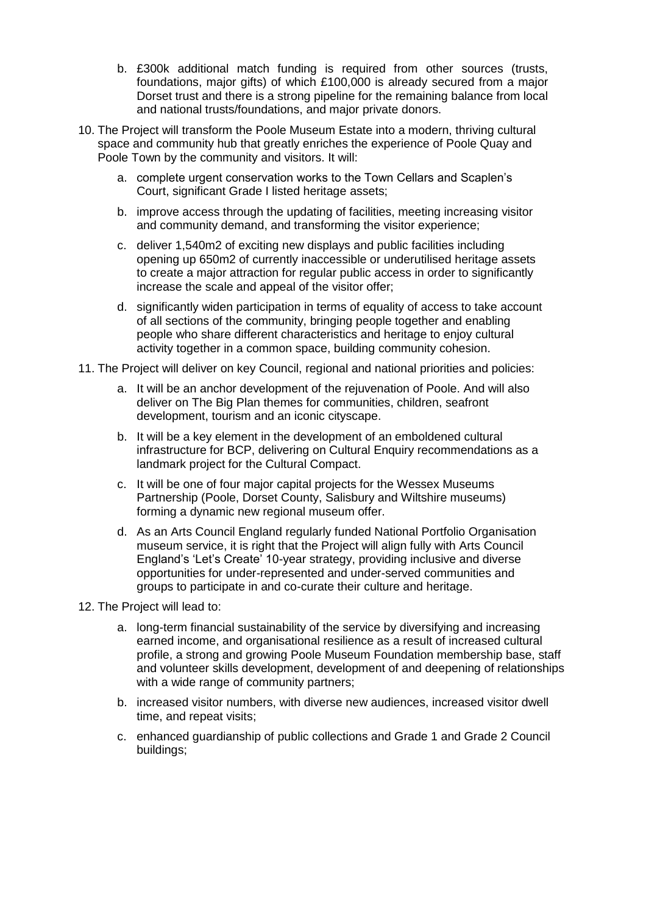- b. £300k additional match funding is required from other sources (trusts, foundations, major gifts) of which £100,000 is already secured from a major Dorset trust and there is a strong pipeline for the remaining balance from local and national trusts/foundations, and major private donors.
- 10. The Project will transform the Poole Museum Estate into a modern, thriving cultural space and community hub that greatly enriches the experience of Poole Quay and Poole Town by the community and visitors. It will:
	- a. complete urgent conservation works to the Town Cellars and Scaplen's Court, significant Grade I listed heritage assets;
	- b. improve access through the updating of facilities, meeting increasing visitor and community demand, and transforming the visitor experience;
	- c. deliver 1,540m2 of exciting new displays and public facilities including opening up 650m2 of currently inaccessible or underutilised heritage assets to create a major attraction for regular public access in order to significantly increase the scale and appeal of the visitor offer;
	- d. significantly widen participation in terms of equality of access to take account of all sections of the community, bringing people together and enabling people who share different characteristics and heritage to enjoy cultural activity together in a common space, building community cohesion.
- 11. The Project will deliver on key Council, regional and national priorities and policies:
	- a. It will be an anchor development of the rejuvenation of Poole. And will also deliver on The Big Plan themes for communities, children, seafront development, tourism and an iconic cityscape.
	- b. It will be a key element in the development of an emboldened cultural infrastructure for BCP, delivering on Cultural Enquiry recommendations as a landmark project for the Cultural Compact.
	- c. It will be one of four major capital projects for the Wessex Museums Partnership (Poole, Dorset County, Salisbury and Wiltshire museums) forming a dynamic new regional museum offer.
	- d. As an Arts Council England regularly funded National Portfolio Organisation museum service, it is right that the Project will align fully with Arts Council England's 'Let's Create' 10-year strategy, providing inclusive and diverse opportunities for under-represented and under-served communities and groups to participate in and co-curate their culture and heritage.
- 12. The Project will lead to:
	- a. long-term financial sustainability of the service by diversifying and increasing earned income, and organisational resilience as a result of increased cultural profile, a strong and growing Poole Museum Foundation membership base, staff and volunteer skills development, development of and deepening of relationships with a wide range of community partners;
	- b. increased visitor numbers, with diverse new audiences, increased visitor dwell time, and repeat visits;
	- c. enhanced guardianship of public collections and Grade 1 and Grade 2 Council buildings;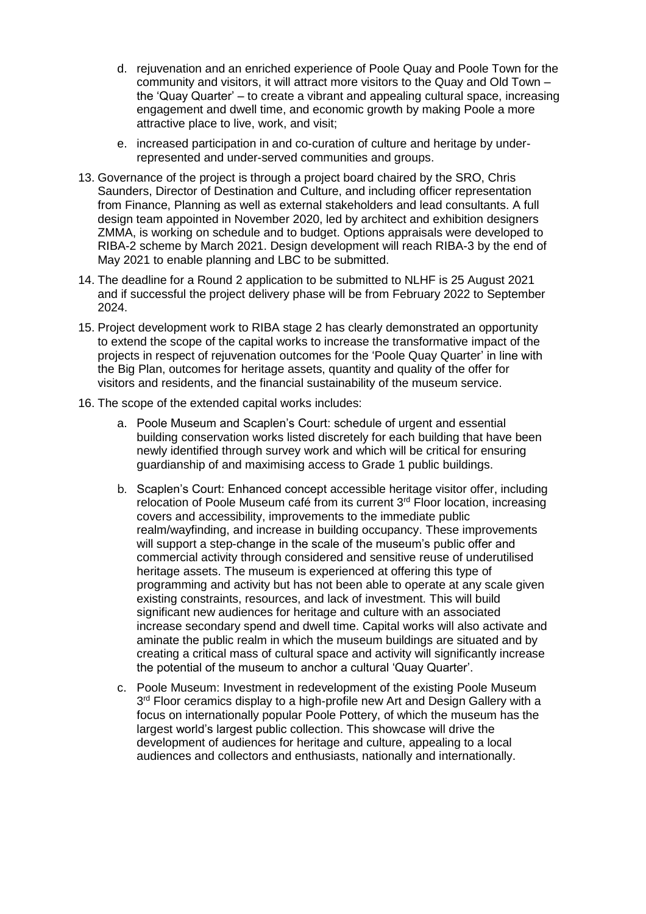- d. rejuvenation and an enriched experience of Poole Quay and Poole Town for the community and visitors, it will attract more visitors to the Quay and Old Town – the 'Quay Quarter' – to create a vibrant and appealing cultural space, increasing engagement and dwell time, and economic growth by making Poole a more attractive place to live, work, and visit;
- e. increased participation in and co-curation of culture and heritage by underrepresented and under-served communities and groups.
- 13. Governance of the project is through a project board chaired by the SRO, Chris Saunders, Director of Destination and Culture, and including officer representation from Finance, Planning as well as external stakeholders and lead consultants. A full design team appointed in November 2020, led by architect and exhibition designers ZMMA, is working on schedule and to budget. Options appraisals were developed to RIBA-2 scheme by March 2021. Design development will reach RIBA-3 by the end of May 2021 to enable planning and LBC to be submitted.
- 14. The deadline for a Round 2 application to be submitted to NLHF is 25 August 2021 and if successful the project delivery phase will be from February 2022 to September 2024.
- 15. Project development work to RIBA stage 2 has clearly demonstrated an opportunity to extend the scope of the capital works to increase the transformative impact of the projects in respect of rejuvenation outcomes for the 'Poole Quay Quarter' in line with the Big Plan, outcomes for heritage assets, quantity and quality of the offer for visitors and residents, and the financial sustainability of the museum service.
- 16. The scope of the extended capital works includes:
	- a. Poole Museum and Scaplen's Court: schedule of urgent and essential building conservation works listed discretely for each building that have been newly identified through survey work and which will be critical for ensuring guardianship of and maximising access to Grade 1 public buildings.
	- b. Scaplen's Court: Enhanced concept accessible heritage visitor offer, including relocation of Poole Museum café from its current 3rd Floor location, increasing covers and accessibility, improvements to the immediate public realm/wayfinding, and increase in building occupancy. These improvements will support a step-change in the scale of the museum's public offer and commercial activity through considered and sensitive reuse of underutilised heritage assets. The museum is experienced at offering this type of programming and activity but has not been able to operate at any scale given existing constraints, resources, and lack of investment. This will build significant new audiences for heritage and culture with an associated increase secondary spend and dwell time. Capital works will also activate and aminate the public realm in which the museum buildings are situated and by creating a critical mass of cultural space and activity will significantly increase the potential of the museum to anchor a cultural 'Quay Quarter'.
	- c. Poole Museum: Investment in redevelopment of the existing Poole Museum 3<sup>rd</sup> Floor ceramics display to a high-profile new Art and Design Gallery with a focus on internationally popular Poole Pottery, of which the museum has the largest world's largest public collection. This showcase will drive the development of audiences for heritage and culture, appealing to a local audiences and collectors and enthusiasts, nationally and internationally.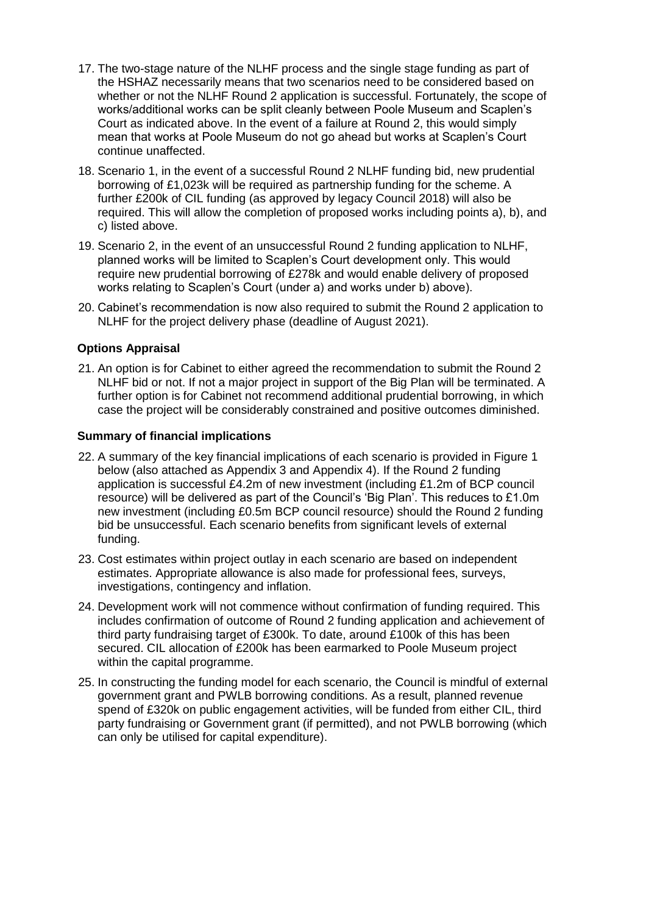- 17. The two-stage nature of the NLHF process and the single stage funding as part of the HSHAZ necessarily means that two scenarios need to be considered based on whether or not the NLHF Round 2 application is successful. Fortunately, the scope of works/additional works can be split cleanly between Poole Museum and Scaplen's Court as indicated above. In the event of a failure at Round 2, this would simply mean that works at Poole Museum do not go ahead but works at Scaplen's Court continue unaffected.
- 18. Scenario 1, in the event of a successful Round 2 NLHF funding bid, new prudential borrowing of £1,023k will be required as partnership funding for the scheme. A further £200k of CIL funding (as approved by legacy Council 2018) will also be required. This will allow the completion of proposed works including points a), b), and c) listed above.
- 19. Scenario 2, in the event of an unsuccessful Round 2 funding application to NLHF, planned works will be limited to Scaplen's Court development only. This would require new prudential borrowing of £278k and would enable delivery of proposed works relating to Scaplen's Court (under a) and works under b) above).
- 20. Cabinet's recommendation is now also required to submit the Round 2 application to NLHF for the project delivery phase (deadline of August 2021).

### **Options Appraisal**

21. An option is for Cabinet to either agreed the recommendation to submit the Round 2 NLHF bid or not. If not a major project in support of the Big Plan will be terminated. A further option is for Cabinet not recommend additional prudential borrowing, in which case the project will be considerably constrained and positive outcomes diminished.

### **Summary of financial implications**

- 22. A summary of the key financial implications of each scenario is provided in Figure 1 below (also attached as Appendix 3 and Appendix 4). If the Round 2 funding application is successful £4.2m of new investment (including £1.2m of BCP council resource) will be delivered as part of the Council's 'Big Plan'. This reduces to £1.0m new investment (including £0.5m BCP council resource) should the Round 2 funding bid be unsuccessful. Each scenario benefits from significant levels of external funding.
- 23. Cost estimates within project outlay in each scenario are based on independent estimates. Appropriate allowance is also made for professional fees, surveys, investigations, contingency and inflation.
- 24. Development work will not commence without confirmation of funding required. This includes confirmation of outcome of Round 2 funding application and achievement of third party fundraising target of £300k. To date, around £100k of this has been secured. CIL allocation of £200k has been earmarked to Poole Museum project within the capital programme.
- 25. In constructing the funding model for each scenario, the Council is mindful of external government grant and PWLB borrowing conditions. As a result, planned revenue spend of £320k on public engagement activities, will be funded from either CIL, third party fundraising or Government grant (if permitted), and not PWLB borrowing (which can only be utilised for capital expenditure).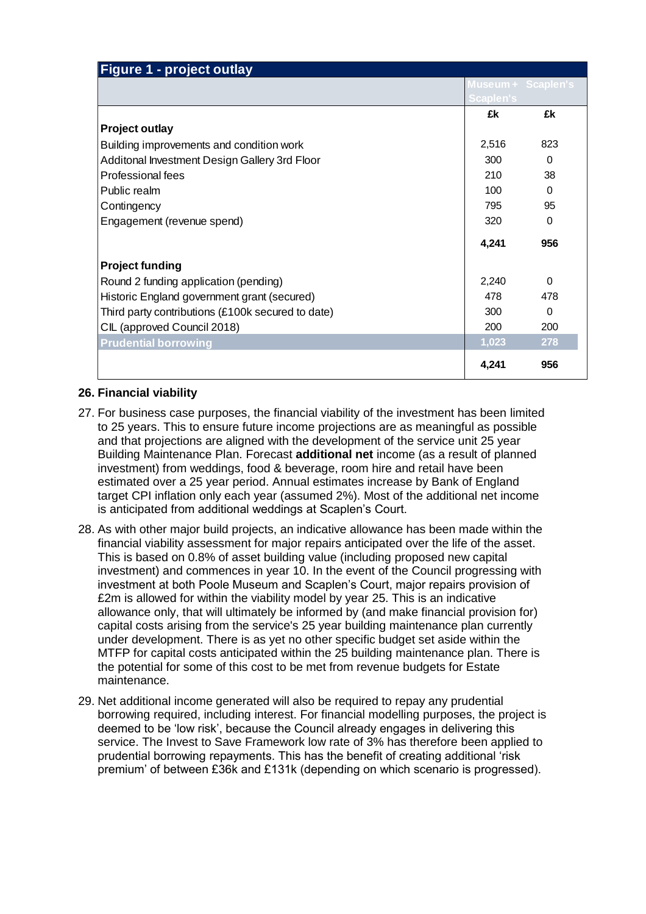| Figure 1 - project outlay                         |       |                                 |  |  |
|---------------------------------------------------|-------|---------------------------------|--|--|
|                                                   |       | Museum + Scaplen's<br>Scaplen's |  |  |
|                                                   |       |                                 |  |  |
|                                                   | £k    | £k                              |  |  |
| <b>Project outlay</b>                             |       |                                 |  |  |
| Building improvements and condition work          | 2,516 | 823                             |  |  |
| Additonal Investment Design Gallery 3rd Floor     | 300   | $\Omega$                        |  |  |
| Professional fees                                 | 210   | 38                              |  |  |
| Public realm                                      | 100   | $\Omega$                        |  |  |
| Contingency                                       | 795   | 95                              |  |  |
| Engagement (revenue spend)                        | 320   | 0                               |  |  |
|                                                   | 4,241 | 956                             |  |  |
| <b>Project funding</b>                            |       |                                 |  |  |
| Round 2 funding application (pending)             |       | $\Omega$                        |  |  |
| Historic England government grant (secured)       |       | 478                             |  |  |
| Third party contributions (£100k secured to date) | 300   | $\Omega$                        |  |  |
| CIL (approved Council 2018)                       | 200   | 200                             |  |  |
| <b>Prudential borrowing</b>                       | 1,023 | 278                             |  |  |
|                                                   | 4,241 | 956                             |  |  |

# **26. Financial viability**

- 27. For business case purposes, the financial viability of the investment has been limited to 25 years. This to ensure future income projections are as meaningful as possible and that projections are aligned with the development of the service unit 25 year Building Maintenance Plan. Forecast **additional net** income (as a result of planned investment) from weddings, food & beverage, room hire and retail have been estimated over a 25 year period. Annual estimates increase by Bank of England target CPI inflation only each year (assumed 2%). Most of the additional net income is anticipated from additional weddings at Scaplen's Court.
- 28. As with other major build projects, an indicative allowance has been made within the financial viability assessment for major repairs anticipated over the life of the asset. This is based on 0.8% of asset building value (including proposed new capital investment) and commences in year 10. In the event of the Council progressing with investment at both Poole Museum and Scaplen's Court, major repairs provision of £2m is allowed for within the viability model by year 25. This is an indicative allowance only, that will ultimately be informed by (and make financial provision for) capital costs arising from the service's 25 year building maintenance plan currently under development. There is as yet no other specific budget set aside within the MTFP for capital costs anticipated within the 25 building maintenance plan. There is the potential for some of this cost to be met from revenue budgets for Estate maintenance.
- 29. Net additional income generated will also be required to repay any prudential borrowing required, including interest. For financial modelling purposes, the project is deemed to be 'low risk', because the Council already engages in delivering this service. The Invest to Save Framework low rate of 3% has therefore been applied to prudential borrowing repayments. This has the benefit of creating additional 'risk premium' of between £36k and £131k (depending on which scenario is progressed).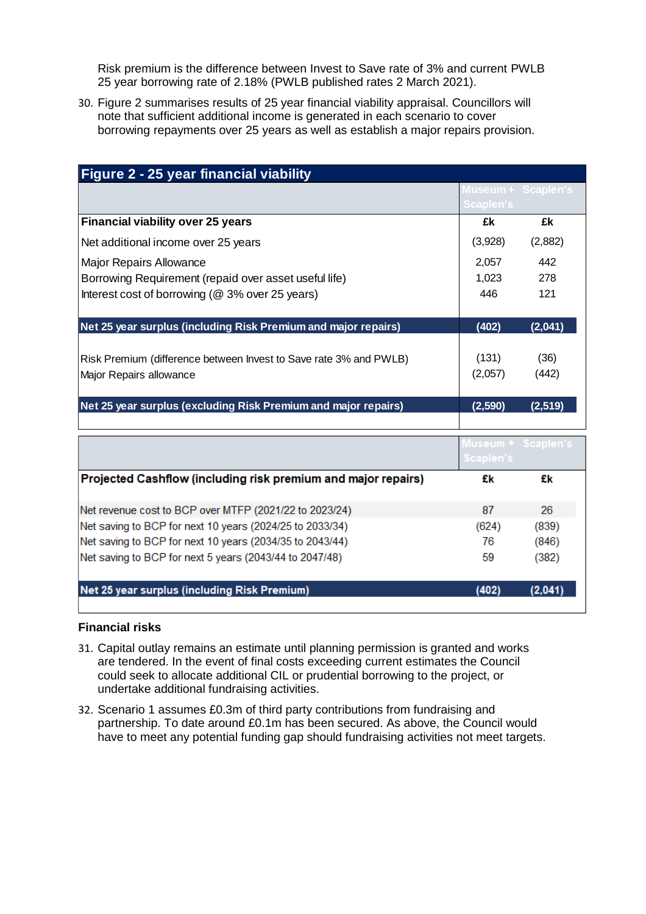Risk premium is the difference between Invest to Save rate of 3% and current PWLB 25 year borrowing rate of 2.18% (PWLB published rates 2 March 2021).

30. Figure 2 summarises results of 25 year financial viability appraisal. Councillors will note that sufficient additional income is generated in each scenario to cover borrowing repayments over 25 years as well as establish a major repairs provision.

| <b>Figure 2 - 25 year financial viability</b>                     |                    |         |  |  |
|-------------------------------------------------------------------|--------------------|---------|--|--|
|                                                                   | Museum + Scaplen's |         |  |  |
|                                                                   | Scaplen's          |         |  |  |
| <b>Financial viability over 25 years</b>                          | £k                 | £k      |  |  |
| Net additional income over 25 years                               | (3,928)            | (2,882) |  |  |
| <b>Major Repairs Allowance</b>                                    | 2,057              | 442     |  |  |
| Borrowing Requirement (repaid over asset useful life)             | 1,023              | 278     |  |  |
| Interest cost of borrowing (@ 3% over 25 years)                   | 446                | 121     |  |  |
| Net 25 year surplus (including Risk Premium and major repairs)    | (402)              | (2,041) |  |  |
| Risk Premium (difference between Invest to Save rate 3% and PWLB) | (131)              | (36)    |  |  |
| Major Repairs allowance                                           | (2,057)            | (442)   |  |  |
| Net 25 year surplus (excluding Risk Premium and major repairs)    | (2,590)            | (2,519) |  |  |
|                                                                   | Museum + Scaplen's |         |  |  |
|                                                                   | Scaplen's          |         |  |  |
| Projected Cashflow (including risk premium and major repairs)     | £k                 | £k      |  |  |
| Net revenue cost to BCP over MTFP (2021/22 to 2023/24)            | 87                 | 26      |  |  |
| Net saving to BCP for next 10 years (2024/25 to 2033/34)          | (624)              | (839)   |  |  |
| Net saving to BCP for next 10 years (2034/35 to 2043/44)          | 76                 | (846)   |  |  |
| Net saving to BCP for next 5 years (2043/44 to 2047/48)           | 59                 | (382)   |  |  |
| Net 25 year surplus (including Risk Premium)                      | (402)              | (2,041) |  |  |

### **Financial risks**

- 31. Capital outlay remains an estimate until planning permission is granted and works are tendered. In the event of final costs exceeding current estimates the Council could seek to allocate additional CIL or prudential borrowing to the project, or undertake additional fundraising activities.
- 32. Scenario 1 assumes £0.3m of third party contributions from fundraising and partnership. To date around £0.1m has been secured. As above, the Council would have to meet any potential funding gap should fundraising activities not meet targets.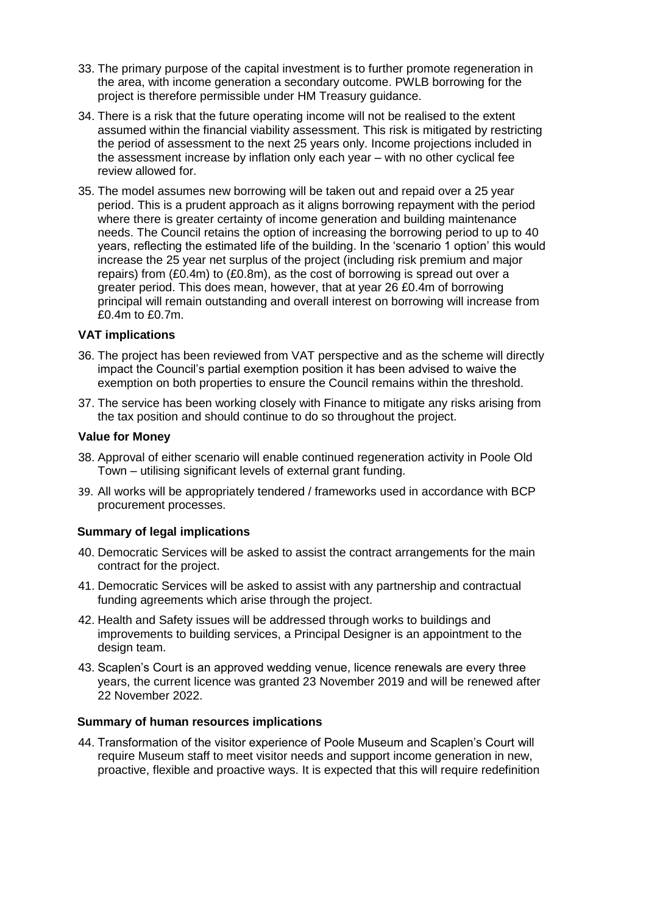- 33. The primary purpose of the capital investment is to further promote regeneration in the area, with income generation a secondary outcome. PWLB borrowing for the project is therefore permissible under HM Treasury guidance.
- 34. There is a risk that the future operating income will not be realised to the extent assumed within the financial viability assessment. This risk is mitigated by restricting the period of assessment to the next 25 years only. Income projections included in the assessment increase by inflation only each year – with no other cyclical fee review allowed for.
- 35. The model assumes new borrowing will be taken out and repaid over a 25 year period. This is a prudent approach as it aligns borrowing repayment with the period where there is greater certainty of income generation and building maintenance needs. The Council retains the option of increasing the borrowing period to up to 40 years, reflecting the estimated life of the building. In the 'scenario 1 option' this would increase the 25 year net surplus of the project (including risk premium and major repairs) from (£0.4m) to (£0.8m), as the cost of borrowing is spread out over a greater period. This does mean, however, that at year 26 £0.4m of borrowing principal will remain outstanding and overall interest on borrowing will increase from £0.4m to £0.7m.

#### **VAT implications**

- 36. The project has been reviewed from VAT perspective and as the scheme will directly impact the Council's partial exemption position it has been advised to waive the exemption on both properties to ensure the Council remains within the threshold.
- 37. The service has been working closely with Finance to mitigate any risks arising from the tax position and should continue to do so throughout the project.

#### **Value for Money**

- 38. Approval of either scenario will enable continued regeneration activity in Poole Old Town – utilising significant levels of external grant funding.
- 39. All works will be appropriately tendered / frameworks used in accordance with BCP procurement processes.

### **Summary of legal implications**

- 40. Democratic Services will be asked to assist the contract arrangements for the main contract for the project.
- 41. Democratic Services will be asked to assist with any partnership and contractual funding agreements which arise through the project.
- 42. Health and Safety issues will be addressed through works to buildings and improvements to building services, a Principal Designer is an appointment to the design team.
- 43. Scaplen's Court is an approved wedding venue, licence renewals are every three years, the current licence was granted 23 November 2019 and will be renewed after 22 November 2022.

#### **Summary of human resources implications**

44. Transformation of the visitor experience of Poole Museum and Scaplen's Court will require Museum staff to meet visitor needs and support income generation in new, proactive, flexible and proactive ways. It is expected that this will require redefinition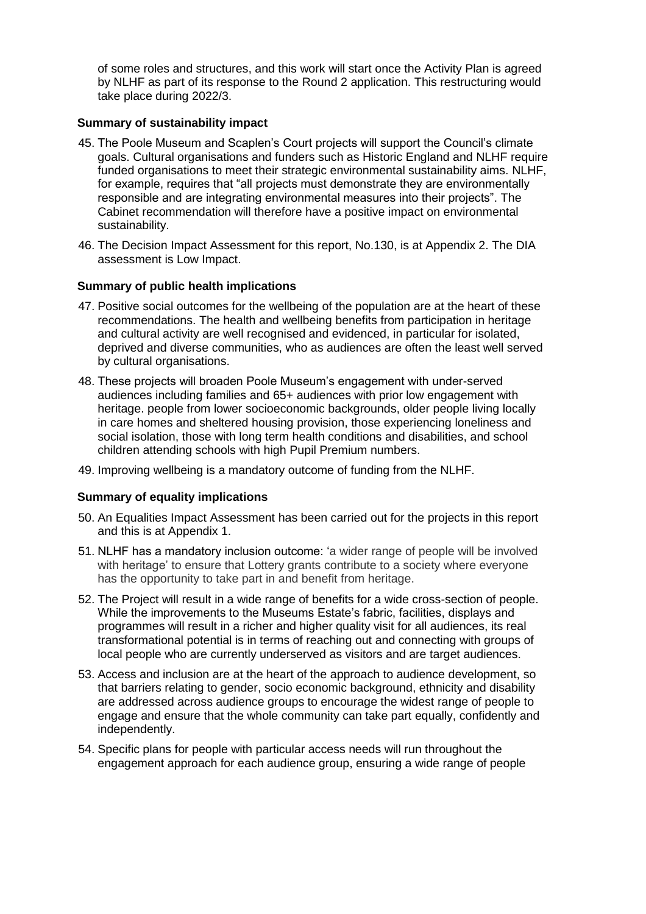of some roles and structures, and this work will start once the Activity Plan is agreed by NLHF as part of its response to the Round 2 application. This restructuring would take place during 2022/3.

## **Summary of sustainability impact**

- 45. The Poole Museum and Scaplen's Court projects will support the Council's climate goals. Cultural organisations and funders such as Historic England and NLHF require funded organisations to meet their strategic environmental sustainability aims. NLHF, for example, requires that "all projects must demonstrate they are environmentally responsible and are integrating environmental measures into their projects". The Cabinet recommendation will therefore have a positive impact on environmental sustainability.
- 46. The Decision Impact Assessment for this report, No.130, is at Appendix 2. The DIA assessment is Low Impact.

## **Summary of public health implications**

- 47. Positive social outcomes for the wellbeing of the population are at the heart of these recommendations. The health and wellbeing benefits from participation in heritage and cultural activity are well recognised and evidenced, in particular for isolated, deprived and diverse communities, who as audiences are often the least well served by cultural organisations.
- 48. These projects will broaden Poole Museum's engagement with under-served audiences including families and 65+ audiences with prior low engagement with heritage. people from lower socioeconomic backgrounds, older people living locally in care homes and sheltered housing provision, those experiencing loneliness and social isolation, those with long term health conditions and disabilities, and school children attending schools with high Pupil Premium numbers.
- 49. Improving wellbeing is a mandatory outcome of funding from the NLHF.

# **Summary of equality implications**

- 50. An Equalities Impact Assessment has been carried out for the projects in this report and this is at Appendix 1.
- 51. NLHF has a mandatory inclusion outcome: 'a wider range of people will be involved with heritage' to ensure that Lottery grants contribute to a society where everyone has the opportunity to take part in and benefit from heritage.
- 52. The Project will result in a wide range of benefits for a wide cross-section of people. While the improvements to the Museums Estate's fabric, facilities, displays and programmes will result in a richer and higher quality visit for all audiences, its real transformational potential is in terms of reaching out and connecting with groups of local people who are currently underserved as visitors and are target audiences.
- 53. Access and inclusion are at the heart of the approach to audience development, so that barriers relating to gender, socio economic background, ethnicity and disability are addressed across audience groups to encourage the widest range of people to engage and ensure that the whole community can take part equally, confidently and independently.
- 54. Specific plans for people with particular access needs will run throughout the engagement approach for each audience group, ensuring a wide range of people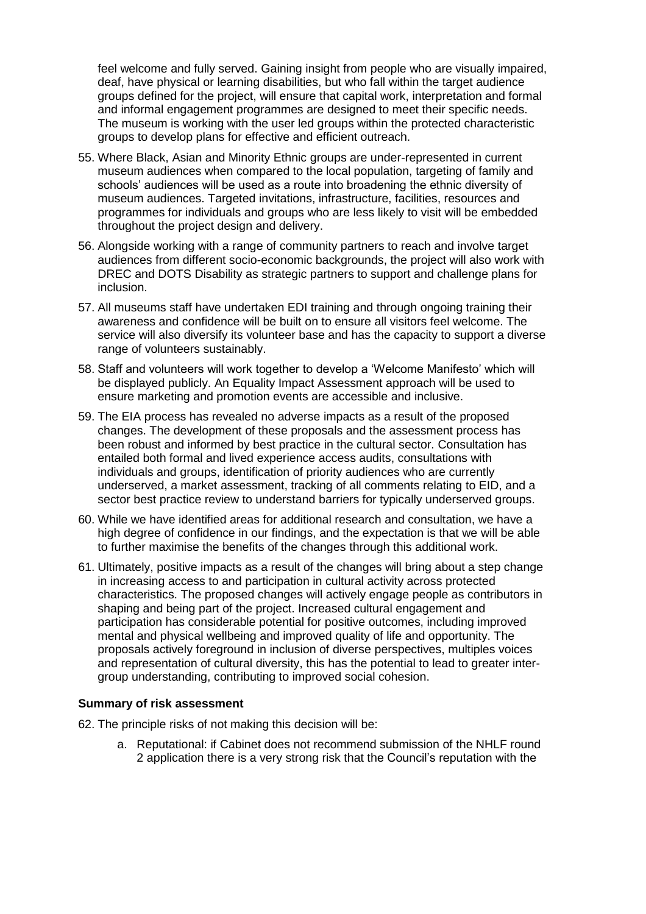feel welcome and fully served. Gaining insight from people who are visually impaired, deaf, have physical or learning disabilities, but who fall within the target audience groups defined for the project, will ensure that capital work, interpretation and formal and informal engagement programmes are designed to meet their specific needs. The museum is working with the user led groups within the protected characteristic groups to develop plans for effective and efficient outreach.

- 55. Where Black, Asian and Minority Ethnic groups are under-represented in current museum audiences when compared to the local population, targeting of family and schools' audiences will be used as a route into broadening the ethnic diversity of museum audiences. Targeted invitations, infrastructure, facilities, resources and programmes for individuals and groups who are less likely to visit will be embedded throughout the project design and delivery.
- 56. Alongside working with a range of community partners to reach and involve target audiences from different socio-economic backgrounds, the project will also work with DREC and DOTS Disability as strategic partners to support and challenge plans for inclusion.
- 57. All museums staff have undertaken EDI training and through ongoing training their awareness and confidence will be built on to ensure all visitors feel welcome. The service will also diversify its volunteer base and has the capacity to support a diverse range of volunteers sustainably.
- 58. Staff and volunteers will work together to develop a 'Welcome Manifesto' which will be displayed publicly. An Equality Impact Assessment approach will be used to ensure marketing and promotion events are accessible and inclusive.
- 59. The EIA process has revealed no adverse impacts as a result of the proposed changes. The development of these proposals and the assessment process has been robust and informed by best practice in the cultural sector. Consultation has entailed both formal and lived experience access audits, consultations with individuals and groups, identification of priority audiences who are currently underserved, a market assessment, tracking of all comments relating to EID, and a sector best practice review to understand barriers for typically underserved groups.
- 60. While we have identified areas for additional research and consultation, we have a high degree of confidence in our findings, and the expectation is that we will be able to further maximise the benefits of the changes through this additional work.
- 61. Ultimately, positive impacts as a result of the changes will bring about a step change in increasing access to and participation in cultural activity across protected characteristics. The proposed changes will actively engage people as contributors in shaping and being part of the project. Increased cultural engagement and participation has considerable potential for positive outcomes, including improved mental and physical wellbeing and improved quality of life and opportunity. The proposals actively foreground in inclusion of diverse perspectives, multiples voices and representation of cultural diversity, this has the potential to lead to greater intergroup understanding, contributing to improved social cohesion.

#### **Summary of risk assessment**

- 62. The principle risks of not making this decision will be:
	- a. Reputational: if Cabinet does not recommend submission of the NHLF round 2 application there is a very strong risk that the Council's reputation with the